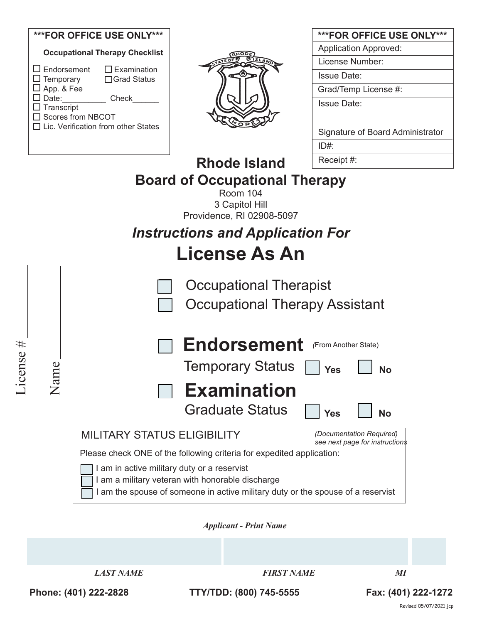### **\*\*\*FOR OFFICE USE ONLY\*\*\***

|                                                             | <b>Occupational Therapy Checklist</b>  |
|-------------------------------------------------------------|----------------------------------------|
| $\Box$ Endorsement<br>$\Box$ Temporary<br>$\Box$ App. & Fee | $\square$ Examination<br>□ Grad Status |
| $\square$ Date:                                             | Check                                  |
| $\Box$ Transcript                                           |                                        |
| □ Scores from NBCOT                                         |                                        |
| $\Box$ Lic. Verification from other States                  |                                        |
|                                                             |                                        |



| ***FOR OFFICE USE ONLY***        |
|----------------------------------|
| <b>Application Approved:</b>     |
| License Number:                  |
| Issue Date:                      |
| Grad/Temp License #:             |
| Issue Date∶                      |
|                                  |
| Signature of Board Administrator |
| ID#:                             |
| Receint #∙                       |

#### **Rhode Island Board of Occupational Therapy** Receipt #:

Room 104 3 Capitol Hill Providence, RI 02908-5097

# *Instructions and Application For* **License As An**

Occupational Therapist

Occupational Therapy Assistant



Please check ONE of the following criteria for expedited application:

I am in active military duty or a reservist

I am a military veteran with honorable discharge

I am the spouse of someone in active military duty or the spouse of a reservist

*Applicant - Print Name* 

*LAST NAME FIRST NAME MI*

License #

License #

Name

**Phone: (401) 222-2828 TTY/TDD: (800) 745-5555 Fax: (401) 222-1272**

Revised 05/07/2021 jcp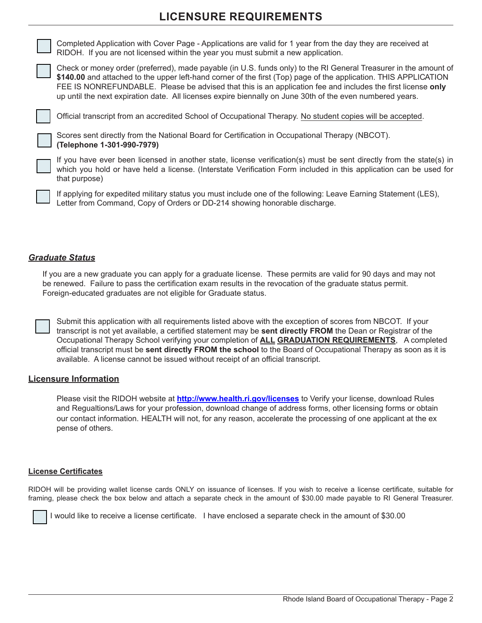# **LICENSURE REQUIREMENTS**



Completed Application with Cover Page - Applications are valid for 1 year from the day they are received at RIDOH. If you are not licensed within the year you must submit a new application.

Check or money order (preferred), made payable (in U.S. funds only) to the RI General Treasurer in the amount of **\$140.00** and attached to the upper left-hand corner of the first (Top) page of the application. THIS APPLICATION FEE IS NONREFUNDABLE. Please be advised that this is an application fee and includes the first license **only** up until the next expiration date. All licenses expire biennally on June 30th of the even numbered years.

Official transcript from an accredited School of Occupational Therapy. No student copies will be accepted.



Scores sent directly from the National Board for Certification in Occupational Therapy (NBCOT). **(Telephone 1-301-990-7979)**

If you have ever been licensed in another state, license verification(s) must be sent directly from the state(s) in which you hold or have held a license. (Interstate Verification Form included in this application can be used for that purpose)

If applying for expedited military status you must include one of the following: Leave Earning Statement (LES), Letter from Command, Copy of Orders or DD-214 showing honorable discharge.

#### *Graduate Status*

If you are a new graduate you can apply for a graduate license. These permits are valid for 90 days and may not be renewed. Failure to pass the certification exam results in the revocation of the graduate status permit. Foreign-educated graduates are not eligible for Graduate status.

Submit this application with all requirements listed above with the exception of scores from NBCOT. If your transcript is not yet available, a certified statement may be **sent directly FROM** the Dean or Registrar of the Occupational Therapy School verifying your completion of **ALL GRADUATION REQUIREMENTS**, A completed official transcript must be **sent directly FROM the school** to the Board of Occupational Therapy as soon as it is available. A license cannot be issued without receipt of an official transcript.

#### **Licensure Information**

Please visit the RIDOH website at **http://www.health.ri.gov/licenses** to Verify your license, download Rules and Regualtions/Laws for your profession, download change of address forms, other licensing forms or obtain our contact information. HEALTH will not, for any reason, accelerate the processing of one applicant at the ex pense of others.

#### **License Certificates**

RIDOH will be providing wallet license cards ONLY on issuance of licenses. If you wish to receive a license certificate, suitable for framing, please check the box below and attach a separate check in the amount of \$30.00 made payable to RI General Treasurer.



I would like to receive a license certificate. I have enclosed a separate check in the amount of \$30.00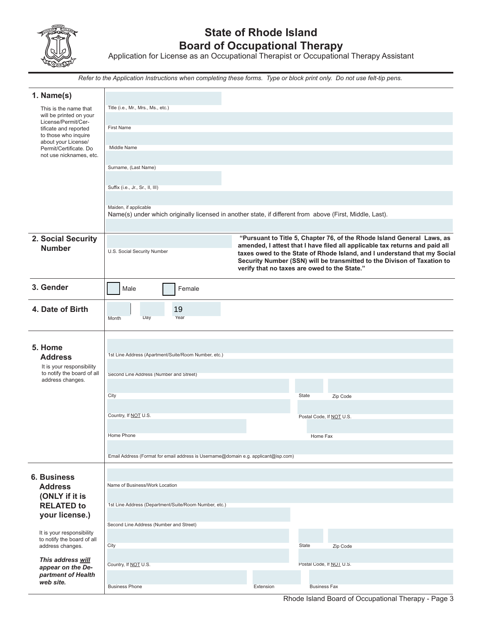

# **State of Rhode Island Board of Occupational Therapy**

Application for License as an Occupational Therapist or Occupational Therapy Assistant

*Refer to the Application Instructions when completing these forms. Type or block print only. Do not use felt-tip pens.*

| 1. Name(s)                                              |                                                                                                                                   |                                              |                          |                                                                                                                                                       |  |  |
|---------------------------------------------------------|-----------------------------------------------------------------------------------------------------------------------------------|----------------------------------------------|--------------------------|-------------------------------------------------------------------------------------------------------------------------------------------------------|--|--|
| This is the name that<br>will be printed on your        | Title (i.e., Mr., Mrs., Ms., etc.)                                                                                                |                                              |                          |                                                                                                                                                       |  |  |
| License/Permit/Cer-                                     |                                                                                                                                   |                                              |                          |                                                                                                                                                       |  |  |
| tificate and reported<br>to those who inquire           | <b>First Name</b>                                                                                                                 |                                              |                          |                                                                                                                                                       |  |  |
| about your License/                                     |                                                                                                                                   |                                              |                          |                                                                                                                                                       |  |  |
| Permit/Certificate. Do<br>not use nicknames, etc.       | Middle Name                                                                                                                       |                                              |                          |                                                                                                                                                       |  |  |
|                                                         |                                                                                                                                   |                                              |                          |                                                                                                                                                       |  |  |
|                                                         | Surname, (Last Name)                                                                                                              |                                              |                          |                                                                                                                                                       |  |  |
|                                                         |                                                                                                                                   |                                              |                          |                                                                                                                                                       |  |  |
|                                                         | Suffix (i.e., Jr., Sr., II, III)                                                                                                  |                                              |                          |                                                                                                                                                       |  |  |
|                                                         |                                                                                                                                   |                                              |                          |                                                                                                                                                       |  |  |
|                                                         | Maiden, if applicable<br>Name(s) under which originally licensed in another state, if different from above (First, Middle, Last). |                                              |                          |                                                                                                                                                       |  |  |
|                                                         |                                                                                                                                   |                                              |                          |                                                                                                                                                       |  |  |
|                                                         |                                                                                                                                   |                                              |                          |                                                                                                                                                       |  |  |
| 2. Social Security<br><b>Number</b>                     |                                                                                                                                   |                                              |                          | "Pursuant to Title 5, Chapter 76, of the Rhode Island General Laws, as<br>amended, I attest that I have filed all applicable tax returns and paid all |  |  |
|                                                         | U.S. Social Security Number                                                                                                       |                                              |                          | taxes owed to the State of Rhode Island, and I understand that my Social                                                                              |  |  |
|                                                         |                                                                                                                                   |                                              |                          | Security Number (SSN) will be transmitted to the Divison of Taxation to                                                                               |  |  |
|                                                         |                                                                                                                                   | verify that no taxes are owed to the State." |                          |                                                                                                                                                       |  |  |
| 3. Gender                                               | Male<br>Female                                                                                                                    |                                              |                          |                                                                                                                                                       |  |  |
|                                                         |                                                                                                                                   |                                              |                          |                                                                                                                                                       |  |  |
| 4. Date of Birth                                        | 19                                                                                                                                |                                              |                          |                                                                                                                                                       |  |  |
|                                                         | Day<br>Year<br>Month                                                                                                              |                                              |                          |                                                                                                                                                       |  |  |
|                                                         |                                                                                                                                   |                                              |                          |                                                                                                                                                       |  |  |
|                                                         |                                                                                                                                   |                                              |                          |                                                                                                                                                       |  |  |
| 5. Home                                                 |                                                                                                                                   |                                              |                          |                                                                                                                                                       |  |  |
| <b>Address</b>                                          | 1st Line Address (Apartment/Suite/Room Number, etc.)                                                                              |                                              |                          |                                                                                                                                                       |  |  |
| It is your responsibility                               |                                                                                                                                   |                                              |                          |                                                                                                                                                       |  |  |
| to notify the board of all<br>address changes.          | Second Line Address (Number and Street)                                                                                           |                                              |                          |                                                                                                                                                       |  |  |
|                                                         |                                                                                                                                   |                                              |                          |                                                                                                                                                       |  |  |
|                                                         | City                                                                                                                              |                                              | State                    | Zip Code                                                                                                                                              |  |  |
|                                                         |                                                                                                                                   |                                              |                          |                                                                                                                                                       |  |  |
|                                                         | Country, If NOT U.S.                                                                                                              |                                              | Postal Code, If NOT U.S. |                                                                                                                                                       |  |  |
|                                                         |                                                                                                                                   |                                              |                          |                                                                                                                                                       |  |  |
|                                                         | Home Phone                                                                                                                        |                                              | Home Fax                 |                                                                                                                                                       |  |  |
|                                                         |                                                                                                                                   |                                              |                          |                                                                                                                                                       |  |  |
|                                                         | Email Address (Format for email address is Username@domain e.g. applicant@isp.com)                                                |                                              |                          |                                                                                                                                                       |  |  |
|                                                         |                                                                                                                                   |                                              |                          |                                                                                                                                                       |  |  |
| <b>6. Business</b>                                      |                                                                                                                                   |                                              |                          |                                                                                                                                                       |  |  |
| <b>Address</b>                                          | Name of Business/Work Location                                                                                                    |                                              |                          |                                                                                                                                                       |  |  |
| (ONLY if it is                                          |                                                                                                                                   |                                              |                          |                                                                                                                                                       |  |  |
| <b>RELATED to</b>                                       | 1st Line Address (Department/Suite/Room Number, etc.)                                                                             |                                              |                          |                                                                                                                                                       |  |  |
| your license.)                                          |                                                                                                                                   |                                              |                          |                                                                                                                                                       |  |  |
|                                                         | Second Line Address (Number and Street)                                                                                           |                                              |                          |                                                                                                                                                       |  |  |
| It is your responsibility<br>to notify the board of all |                                                                                                                                   |                                              |                          |                                                                                                                                                       |  |  |
| address changes.                                        | City                                                                                                                              |                                              | State                    | Zip Code                                                                                                                                              |  |  |
| This address will                                       |                                                                                                                                   |                                              |                          |                                                                                                                                                       |  |  |
| appear on the De-                                       | Country, If NOT U.S.                                                                                                              |                                              | Postal Code, If NOT U.S. |                                                                                                                                                       |  |  |
| partment of Health                                      |                                                                                                                                   |                                              |                          |                                                                                                                                                       |  |  |
| web site.                                               | <b>Business Phone</b>                                                                                                             | Extension                                    | <b>Business Fax</b>      |                                                                                                                                                       |  |  |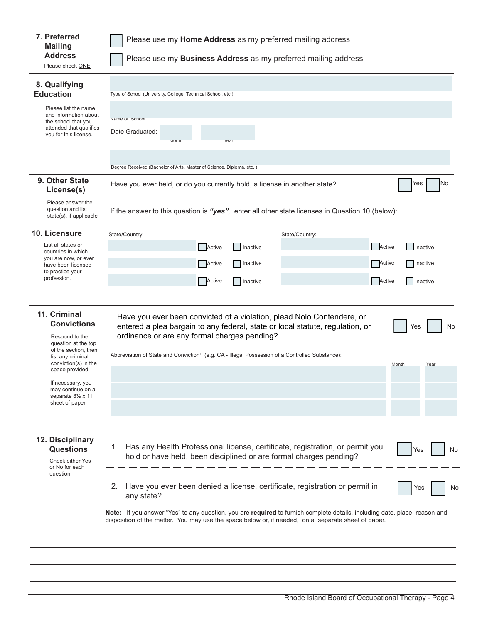| 7. Preferred<br><b>Mailing</b><br><b>Address</b>                                                                                                                                                                                                       | Please use my Home Address as my preferred mailing address                                                                                                                                                                                                                                                                                           |  |  |  |  |  |
|--------------------------------------------------------------------------------------------------------------------------------------------------------------------------------------------------------------------------------------------------------|------------------------------------------------------------------------------------------------------------------------------------------------------------------------------------------------------------------------------------------------------------------------------------------------------------------------------------------------------|--|--|--|--|--|
| Please check ONE                                                                                                                                                                                                                                       | Please use my <b>Business Address</b> as my preferred mailing address                                                                                                                                                                                                                                                                                |  |  |  |  |  |
| 8. Qualifying<br><b>Education</b><br>Please list the name<br>and information about<br>the school that you<br>attended that qualifies<br>you for this license.                                                                                          | Type of School (University, College, Technical School, etc.)<br>Name of School<br>Date Graduated:<br>Month<br>Year                                                                                                                                                                                                                                   |  |  |  |  |  |
|                                                                                                                                                                                                                                                        | Degree Received (Bachelor of Arts, Master of Science, Diploma, etc.)                                                                                                                                                                                                                                                                                 |  |  |  |  |  |
| 9. Other State<br>License(s)                                                                                                                                                                                                                           | No<br>Have you ever held, or do you currently hold, a license in another state?<br>Yes                                                                                                                                                                                                                                                               |  |  |  |  |  |
| Please answer the<br>question and list<br>state(s), if applicable                                                                                                                                                                                      | If the answer to this question is "yes", enter all other state licenses in Question 10 (below):                                                                                                                                                                                                                                                      |  |  |  |  |  |
| 10. Licensure<br>List all states or<br>countries in which<br>you are now, or ever<br>have been licensed<br>to practice your<br>profession.                                                                                                             | State/Country:<br>State/Country:<br>Active<br><b>Active</b><br>Inactive<br>Inactive<br><b>Active</b><br><b>Active</b><br>Inactive<br>Inactive<br>Active<br>Active<br>Inactive<br>Inactive                                                                                                                                                            |  |  |  |  |  |
| 11. Criminal<br><b>Convictions</b><br>Respond to the<br>question at the top<br>of the section, then<br>list any criminal<br>conviction(s) in the<br>space provided.<br>If necessary, you<br>may continue on a<br>separate 81/2 x 11<br>sheet of paper. | Have you ever been convicted of a violation, plead Nolo Contendere, or<br>entered a plea bargain to any federal, state or local statute, regulation, or<br>No<br>Yes<br>ordinance or are any formal charges pending?<br>Abbreviation of State and Conviction <sup>1</sup> (e.g. CA - Illegal Possession of a Controlled Substance):<br>Month<br>Year |  |  |  |  |  |
| 12. Disciplinary<br><b>Questions</b><br>Check either Yes<br>or No for each<br>question.                                                                                                                                                                | Has any Health Professional license, certificate, registration, or permit you<br>1.<br>Yes<br>No<br>hold or have held, been disciplined or are formal charges pending?<br>Have you ever been denied a license, certificate, registration or permit in<br>2.<br>Yes<br>No<br>any state?                                                               |  |  |  |  |  |
|                                                                                                                                                                                                                                                        | Note: If you answer "Yes" to any question, you are required to furnish complete details, including date, place, reason and<br>disposition of the matter. You may use the space below or, if needed, on a separate sheet of paper.                                                                                                                    |  |  |  |  |  |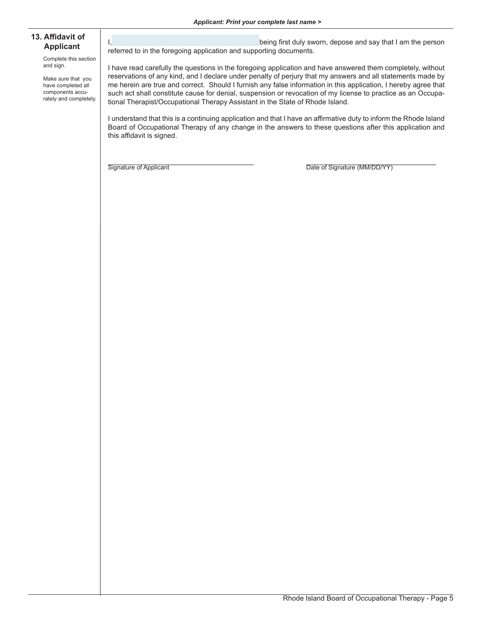#### *Applicant: Print your complete last name >*

#### **13. Affidavit of Applicant**

Complete this section and sign.

Make sure that you have completed all components accurately and completely.

I, the contract of the contract of the being first duly sworn, depose and say that I am the person referred to in the foregoing application and supporting documents.

I have read carefully the questions in the foregoing application and have answered them completely, without reservations of any kind, and I declare under penalty of perjury that my answers and all statements made by me herein are true and correct. Should I furnish any false information in this application, I hereby agree that such act shall constitute cause for denial, suspension or revocation of my license to practice as an Occupational Therapist/Occupational Therapy Assistant in the State of Rhode Island.

I understand that this is a continuing application and that I have an affirmative duty to inform the Rhode Island Board of Occupational Therapy of any change in the answers to these questions after this application and this affidavit is signed.

Signature of Applicant **Example 2** and the Date of Signature (MM/DD/YY)